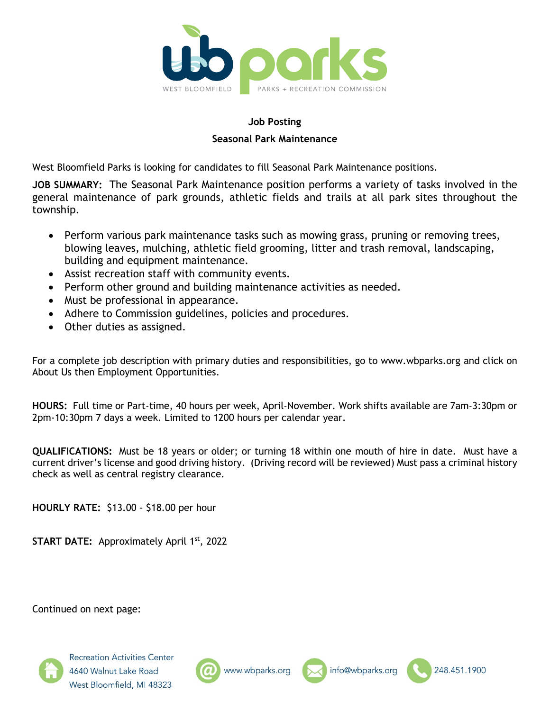

## **Job Posting Seasonal Park Maintenance**

West Bloomfield Parks is looking for candidates to fill Seasonal Park Maintenance positions.

**JOB SUMMARY:** The Seasonal Park Maintenance position performs a variety of tasks involved in the general maintenance of park grounds, athletic fields and trails at all park sites throughout the township.

- Perform various park maintenance tasks such as mowing grass, pruning or removing trees, blowing leaves, mulching, athletic field grooming, litter and trash removal, landscaping, building and equipment maintenance.
- Assist recreation staff with community events.
- Perform other ground and building maintenance activities as needed.
- Must be professional in appearance.
- Adhere to Commission guidelines, policies and procedures.
- Other duties as assigned.

For a complete job description with primary duties and responsibilities, go to www.wbparks.org and click on About Us then Employment Opportunities.

**HOURS:** Full time or Part-time, 40 hours per week, April-November. Work shifts available are 7am-3:30pm or 2pm-10:30pm 7 days a week. Limited to 1200 hours per calendar year.

**QUALIFICATIONS:** Must be 18 years or older; or turning 18 within one mouth of hire in date. Must have a current driver's license and good driving history. (Driving record will be reviewed) Must pass a criminal history check as well as central registry clearance.

**HOURLY RATE:** \$13.00 - \$18.00 per hour

**START DATE:** Approximately April 1st, 2022

Continued on next page:





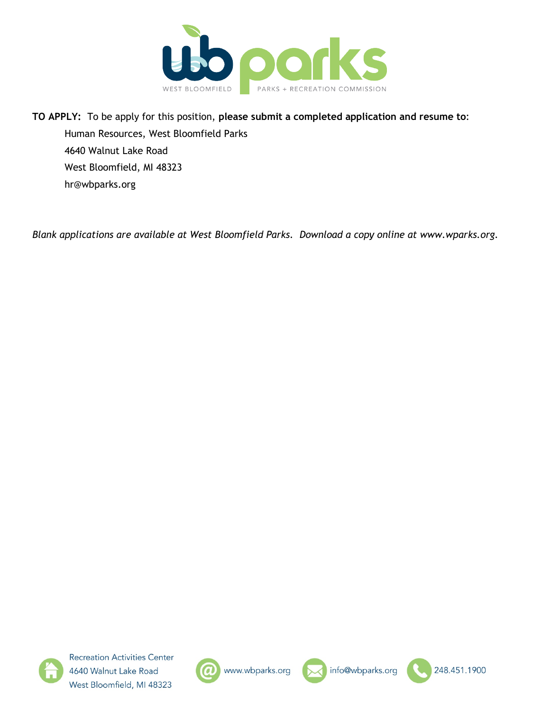

# **TO APPLY:** To be apply for this position, **please submit a completed application and resume to**: Human Resources, West Bloomfield Parks 4640 Walnut Lake Road West Bloomfield, MI 48323 hr@wbparks.org

*Blank applications are available at West Bloomfield Parks. Download a copy online at www.wparks.org.*







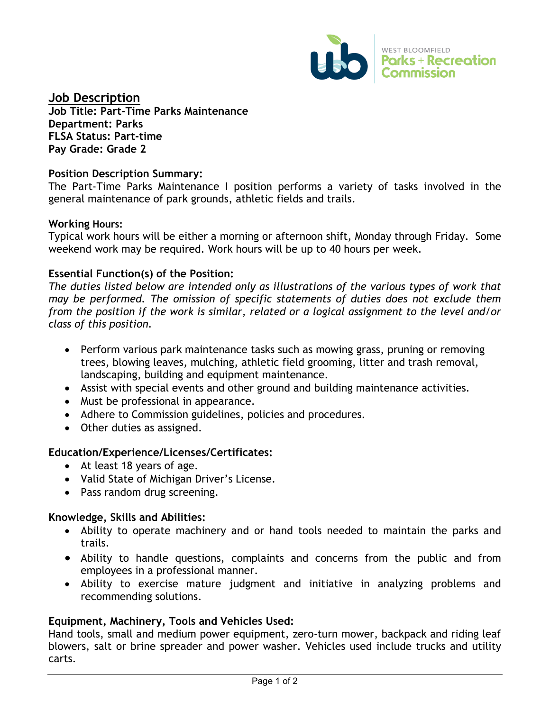

# **Job Description**

**Job Title: Part-Time Parks Maintenance Department: Parks FLSA Status: Part-time Pay Grade: Grade 2**

## **Position Description Summary:**

The Part-Time Parks Maintenance I position performs a variety of tasks involved in the general maintenance of park grounds, athletic fields and trails.

## **Working Hours:**

Typical work hours will be either a morning or afternoon shift, Monday through Friday. Some weekend work may be required. Work hours will be up to 40 hours per week.

## **Essential Function(s) of the Position:**

*The duties listed below are intended only as illustrations of the various types of work that may be performed. The omission of specific statements of duties does not exclude them from the position if the work is similar, related or a logical assignment to the level and/or class of this position.*

- Perform various park maintenance tasks such as mowing grass, pruning or removing trees, blowing leaves, mulching, athletic field grooming, litter and trash removal, landscaping, building and equipment maintenance.
- Assist with special events and other ground and building maintenance activities.
- Must be professional in appearance.
- Adhere to Commission guidelines, policies and procedures.
- Other duties as assigned.

# **Education/Experience/Licenses/Certificates:**

- At least 18 years of age.
- Valid State of Michigan Driver's License.
- Pass random drug screening.

## **Knowledge, Skills and Abilities:**

- Ability to operate machinery and or hand tools needed to maintain the parks and trails.
- Ability to handle questions, complaints and concerns from the public and from employees in a professional manner.
- Ability to exercise mature judgment and initiative in analyzing problems and recommending solutions.

# **Equipment, Machinery, Tools and Vehicles Used:**

Hand tools, small and medium power equipment, zero-turn mower, backpack and riding leaf blowers, salt or brine spreader and power washer. Vehicles used include trucks and utility carts.